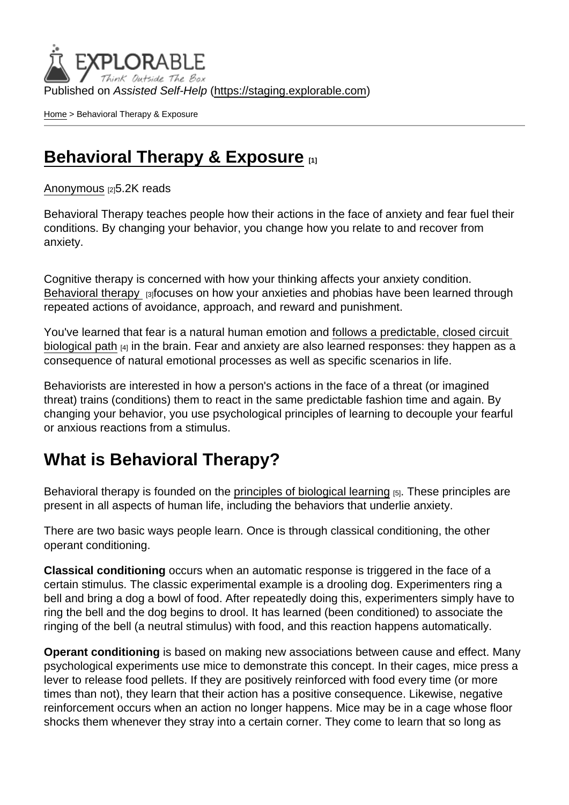Published on Assisted Self-Help [\(https://staging.explorable.com](https://staging.explorable.com))

[Home](https://staging.explorable.com/en) > Behavioral Therapy & Exposure

### [Behavioral Therapy & Exposure](https://staging.explorable.com/en/e/behavioral-therapy-exposure) [1]

[Anonymous](https://staging.explorable.com/en/users/grharriman) [2]5.2K reads

Behavioral Therapy teaches people how their actions in the face of anxiety and fear fuel their conditions. By changing your behavior, you change how you relate to and recover from anxiety.

Cognitive therapy is concerned with how your thinking affects your anxiety condition. [Behavioral therapy](https://www.beyondblue.org.au/the-facts/anxiety/treatments-for-anxiety/psychological-treatments-for-anxiety) [3]focuses on how your anxieties and phobias have been learned through repeated actions of avoidance, approach, and reward and punishment.

You've learned that fear is a natural human emotion and [follows a predictable, closed circuit](https://explorable.com/fear-anxiety-the-brain-physiology)  [biological path](https://explorable.com/fear-anxiety-the-brain-physiology) [4] in the brain. Fear and anxiety are also learned responses: they happen as a consequence of natural emotional processes as well as specific scenarios in life.

Behaviorists are interested in how a person's actions in the face of a threat (or imagined threat) trains (conditions) them to react in the same predictable fashion time and again. By changing your behavior, you use psychological principles of learning to decouple your fearful or anxious reactions from a stimulus.

### What is Behavioral Therapy?

Behavioral therapy is founded on the [principles of biological learning](http://psychology.about.com/od/typesofpsychotherapy/a/behavioral-therapy.htm) [5]. These principles are present in all aspects of human life, including the behaviors that underlie anxiety.

There are two basic ways people learn. Once is through classical conditioning, the other operant conditioning.

Classical conditioning occurs when an automatic response is triggered in the face of a certain stimulus. The classic experimental example is a drooling dog. Experimenters ring a bell and bring a dog a bowl of food. After repeatedly doing this, experimenters simply have to ring the bell and the dog begins to drool. It has learned (been conditioned) to associate the ringing of the bell (a neutral stimulus) with food, and this reaction happens automatically.

Operant conditioning is based on making new associations between cause and effect. Many psychological experiments use mice to demonstrate this concept. In their cages, mice press a lever to release food pellets. If they are positively reinforced with food every time (or more times than not), they learn that their action has a positive consequence. Likewise, negative reinforcement occurs when an action no longer happens. Mice may be in a cage whose floor shocks them whenever they stray into a certain corner. They come to learn that so long as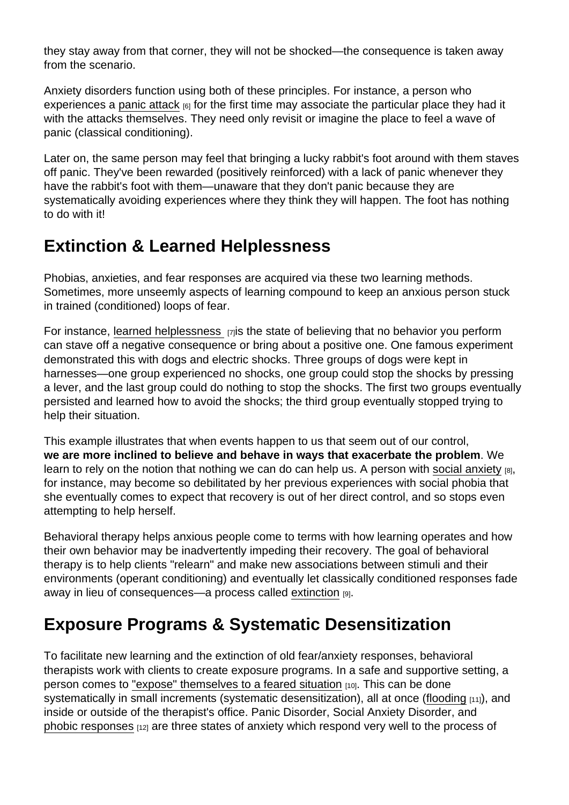they stay away from that corner, they will not be shocked—the consequence is taken away from the scenario.

Anxiety disorders function using both of these principles. For instance, a person who experiences a [panic attack](https://explorable.com/panic-disorder)  $_{[6]}$  for the first time may associate the particular place they had it with the attacks themselves. They need only revisit or imagine the place to feel a wave of panic (classical conditioning).

Later on, the same person may feel that bringing a lucky rabbit's foot around with them staves off panic. They've been rewarded (positively reinforced) with a lack of panic whenever they have the rabbit's foot with them—unaware that they don't panic because they are systematically avoiding experiences where they think they will happen. The foot has nothing to do with it!

# Extinction & Learned Helplessness

Phobias, anxieties, and fear responses are acquired via these two learning methods. Sometimes, more unseemly aspects of learning compound to keep an anxious person stuck in trained (conditioned) loops of fear.

For instance, [learned helplessness](http://psychology.about.com/od/lindex/f/earned-helplessness.htm)  $\overline{17}$  is the state of believing that no behavior you perform can stave off a negative consequence or bring about a positive one. One famous experiment demonstrated this with dogs and electric shocks. Three groups of dogs were kept in harnesses—one group experienced no shocks, one group could stop the shocks by pressing a lever, and the last group could do nothing to stop the shocks. The first two groups eventually persisted and learned how to avoid the shocks; the third group eventually stopped trying to help their situation.

This example illustrates that when events happen to us that seem out of our control, we are more inclined to believe and behave in ways that exacerbate the problem . We learn to rely on the notion that nothing we can do can help us. A person with [social anxiety](https://explorable.com/social-anxiety-disorders)  $_{[8]}$ , for instance, may become so debilitated by her previous experiences with social phobia that she eventually comes to expect that recovery is out of her direct control, and so stops even attempting to help herself.

Behavioral therapy helps anxious people come to terms with how learning operates and how their own behavior may be inadvertently impeding their recovery. The goal of behavioral therapy is to help clients "relearn" and make new associations between stimuli and their environments (operant conditioning) and eventually let classically conditioned responses fade away in lieu of consequences—a process called [extinction](http://psychcentral.com/encyclopedia/2009/extinction/) [9].

# Exposure Programs & Systematic Desensitization

To facilitate new learning and the extinction of old fear/anxiety responses, behavioral therapists work with clients to create exposure programs. In a safe and supportive setting, a person comes to ["expose" themselves to a feared situation](http://www.helpguide.org/articles/anxiety/therapy-for-anxiety-disorders.htm#exposure) [10]. This can be done systematically in small increments (systematic desensitization), all at once [\(flooding](http://www.simplypsychology.org/behavioral-therapy.html) [11]), and inside or outside of the therapist's office. Panic Disorder, Social Anxiety Disorder, and [phobic responses](https://explorable.com/phobias-test-anxiety) [12] are three states of anxiety which respond very well to the process of